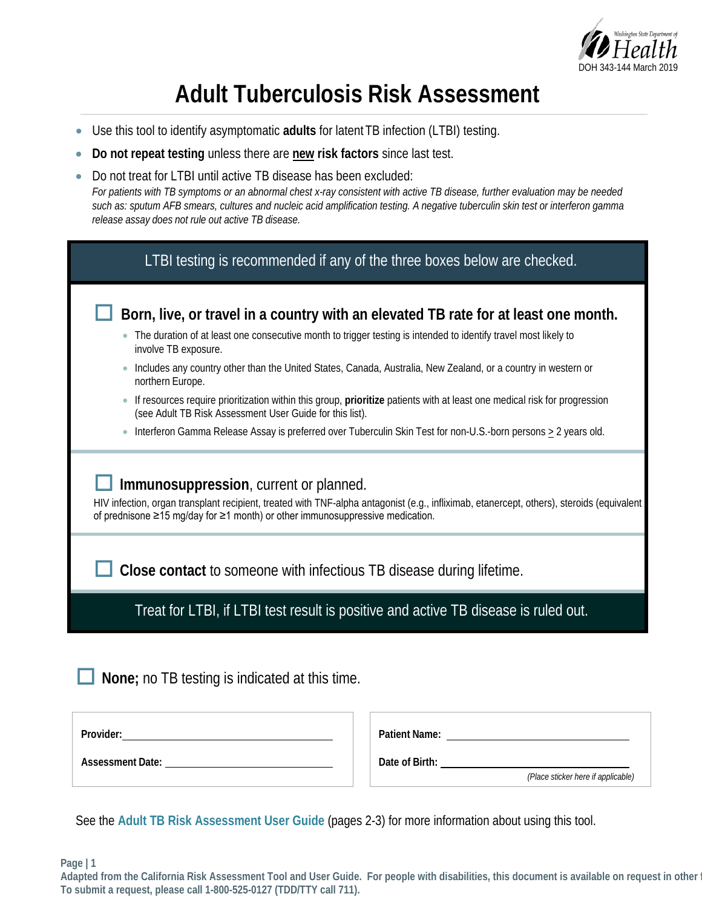

# **Adult Tuberculosis Risk Assessment**

- Use this tool to identify asymptomatic **adults** for latent TB infection (LTBI) testing.
- **Do not repeat testing** unless there are **new risk factors** since last test.
- Do not treat for LTBI until active TB disease has been excluded: *For patients with TB symptoms or an abnormal chest x-ray consistent with active TB disease, further evaluation may be needed such as: sputum AFB smears, cultures and nucleic acid amplification testing. A negative tuberculin skin test or interferon gamma release assay does not rule out active TB disease.*

| LTBI testing is recommended if any of the three boxes below are checked.                                                                                                                                                                                                         |  |  |  |
|----------------------------------------------------------------------------------------------------------------------------------------------------------------------------------------------------------------------------------------------------------------------------------|--|--|--|
| Born, live, or travel in a country with an elevated TB rate for at least one month.                                                                                                                                                                                              |  |  |  |
| The duration of at least one consecutive month to trigger testing is intended to identify travel most likely to<br>involve TB exposure.                                                                                                                                          |  |  |  |
| Includes any country other than the United States, Canada, Australia, New Zealand, or a country in western or<br>northern Europe.                                                                                                                                                |  |  |  |
| If resources require prioritization within this group, prioritize patients with at least one medical risk for progression<br>$\bullet$<br>(see Adult TB Risk Assessment User Guide for this list).                                                                               |  |  |  |
| Interferon Gamma Release Assay is preferred over Tuberculin Skin Test for non-U.S.-born persons $\geq 2$ years old.<br>$\bullet$                                                                                                                                                 |  |  |  |
| Immunosuppression, current or planned.<br>HIV infection, organ transplant recipient, treated with TNF-alpha antagonist (e.g., infliximab, etanercept, others), steroids (equivalent<br>of prednisone $\geq$ 15 mg/day for $\geq$ 1 month) or other immunosuppressive medication. |  |  |  |
| Close contact to someone with infectious TB disease during lifetime.                                                                                                                                                                                                             |  |  |  |
| Treat for LTBI, if LTBI test result is positive and active TB disease is ruled out.                                                                                                                                                                                              |  |  |  |
|                                                                                                                                                                                                                                                                                  |  |  |  |

**None;** no TB testing is indicated at this time.

**Assessment Date:** 

| <b>Patient Name:</b> |                                    |
|----------------------|------------------------------------|
| Date of Birth:       | (Place sticker here if applicable) |
|                      |                                    |

See the **Adult TB Risk Assessment User Guide** (pages 2-3) for more information about using this tool.

**Page | 1**

**Adapted from the California Risk Assessment Tool and User Guide. For people with disabilities, this document is available on request in other f To submit a request, please call 1-800-525-0127 (TDD/TTY call 711).**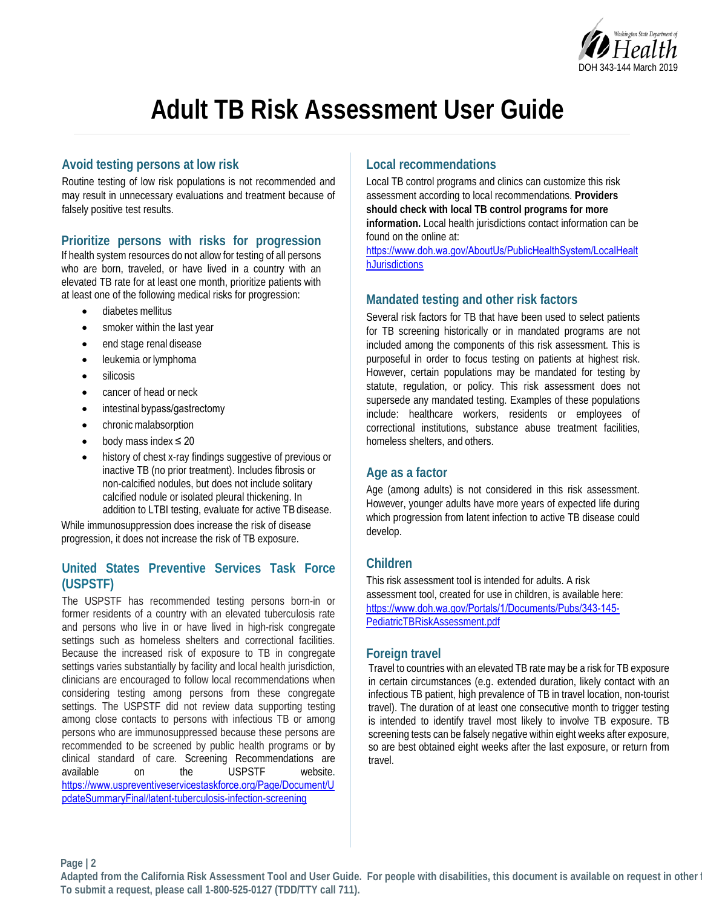

# **Adult TB Risk Assessment User Guide**

# **Avoid testing persons at low risk**

Routine testing of low risk populations is not recommended and may result in unnecessary evaluations and treatment because of falsely positive test results.

# **Prioritize persons with risks for progression**

If health system resources do not allow for testing of all persons who are born, traveled, or have lived in a country with an elevated TB rate for at least one month, prioritize patients with at least one of the following medical risks for progression:

- diabetes mellitus
- smoker within the last year
- end stage renal disease
- leukemia or lymphoma
- silicosis
- cancer of head or neck
- intestinal bypass/gastrectomy
- chronic malabsorption
- body mass index  $\leq 20$
- history of chest x-ray findings suggestive of previous or inactive TB (no prior treatment). Includes fibrosis or non-calcified nodules, but does not include solitary calcified nodule or isolated pleural thickening. In addition to LTBI testing, evaluate for active TB disease.

While immunosuppression does increase the risk of disease progression, it does not increase the risk of TB exposure.

# **United States Preventive Services Task Force (USPSTF)**

The USPSTF has recommended testing persons born-in or former residents of a country with an elevated tuberculosis rate and persons who live in or have lived in high-risk congregate settings such as homeless shelters and correctional facilities. Because the increased risk of exposure to TB in congregate settings varies substantially by facility and local health jurisdiction, clinicians are encouraged to follow local recommendations when considering testing among persons from these congregate settings. The USPSTF did not review data supporting testing among close contacts to persons with infectious TB or among persons who are immunosuppressed because these persons are recommended to be screened by public health programs or by clinical standard of care. Screening Recommendations are available on the USPSTF website. [https://www.uspreventiveservicestaskforce.org/Page/Document/U](https://www.uspreventiveservicestaskforce.org/Page/Document/UpdateSummaryFinal/latent-tuberculosis-infection-screening) pdateSummaryFinal/latent[-tuberculosis-infection-screening](https://www.uspreventiveservicestaskforce.org/Page/Document/UpdateSummaryFinal/latent-tuberculosis-infection-screening)

# **Local recommendations**

Local TB control programs and clinics can customize this risk assessment according to local recommendations. **Providers should check with local TB control programs for more information.** Local health jurisdictions contact information can be found on the online at:

https://www.doh.wa.gov/AboutUs/PublicHealthSystem/LocalHealt hJurisdictions

# **Mandated testing and other risk factors**

Several risk factors for TB that have been used to select patients for TB screening historically or in mandated programs are not included among the components of this risk assessment. This is purposeful in order to focus testing on patients at highest risk. However, certain populations may be mandated for testing by statute, regulation, or policy. This risk assessment does not supersede any mandated testing. Examples of these populations include: healthcare workers, residents or employees of correctional institutions, substance abuse treatment facilities, homeless shelters, and others.

# **Age as a factor**

Age (among adults) is not considered in this risk assessment. However, younger adults have more years of expected life during which progression from latent infection to active TB disease could develop.

# **Children**

This risk assessment tool is intended for adults. A risk assessment tool, created for use in children, is available here: [https://www.doh.wa.gov/Portals/1/Documents/Pubs/343](https://www.doh.wa.gov/Portals/1/Documents/Pubs/343-145-PediatricTBRiskAssessment.pdf)-145- [PediatricTBRiskAssessment.pdf](https://www.doh.wa.gov/Portals/1/Documents/Pubs/343-145-PediatricTBRiskAssessment.pdf) 

# **Foreign travel**

Travel to countries with an elevated TB rate may be a risk for TB exposure in certain circumstances (e.g. extended duration, likely contact with an infectious TB patient, high prevalence of TB in travel location, non-tourist travel). The duration of at least one consecutive month to trigger testing is intended to identify travel most likely to involve TB exposure. TB screening tests can be falsely negative within eight weeks after exposure, so are best obtained eight weeks after the last exposure, or return from travel.

**Page | 2**

**Adapted from the California Risk Assessment Tool and User Guide. For people with disabilities, this document is available on request in other f To submit a request, please call 1-800-525-0127 (TDD/TTY call 711).**